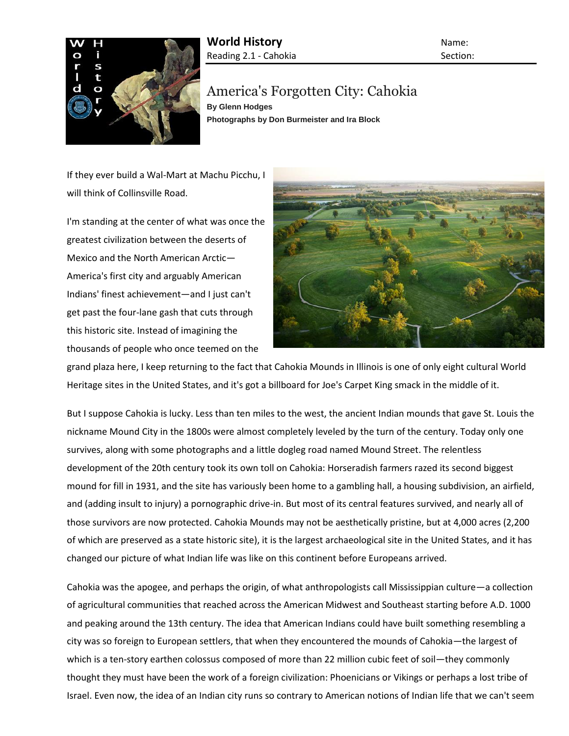

## America's Forgotten City: Cahokia

**By Glenn Hodges Photographs by Don Burmeister and Ira Block**

If they ever build a Wal-Mart at Machu Picchu, I will think of Collinsville Road.

I'm standing at the center of what was once the greatest civilization between the deserts of Mexico and the North American Arctic— America's first city and arguably American Indians' finest achievement—and I just can't get past the four-lane gash that cuts through this historic site. Instead of imagining the thousands of people who once teemed on the



grand plaza here, I keep returning to the fact that Cahokia Mounds in Illinois is one of only eight cultural World Heritage sites in the United States, and it's got a billboard for Joe's Carpet King smack in the middle of it.

But I suppose Cahokia is lucky. Less than ten miles to the west, the ancient Indian mounds that gave St. Louis the nickname Mound City in the 1800s were almost completely leveled by the turn of the century. Today only one survives, along with some photographs and a little dogleg road named Mound Street. The relentless development of the 20th century took its own toll on Cahokia: Horseradish farmers razed its second biggest mound for fill in 1931, and the site has variously been home to a gambling hall, a housing subdivision, an airfield, and (adding insult to injury) a pornographic drive-in. But most of its central features survived, and nearly all of those survivors are now protected. Cahokia Mounds may not be aesthetically pristine, but at 4,000 acres (2,200 of which are preserved as a state historic site), it is the largest archaeological site in the United States, and it has changed our picture of what Indian life was like on this continent before Europeans arrived.

Cahokia was the apogee, and perhaps the origin, of what anthropologists call Mississippian culture—a collection of agricultural communities that reached across the American Midwest and Southeast starting before A.D. 1000 and peaking around the 13th century. The idea that American Indians could have built something resembling a city was so foreign to European settlers, that when they encountered the mounds of Cahokia—the largest of which is a ten-story earthen colossus composed of more than 22 million cubic feet of soil—they commonly thought they must have been the work of a foreign civilization: Phoenicians or Vikings or perhaps a lost tribe of Israel. Even now, the idea of an Indian city runs so contrary to American notions of Indian life that we can't seem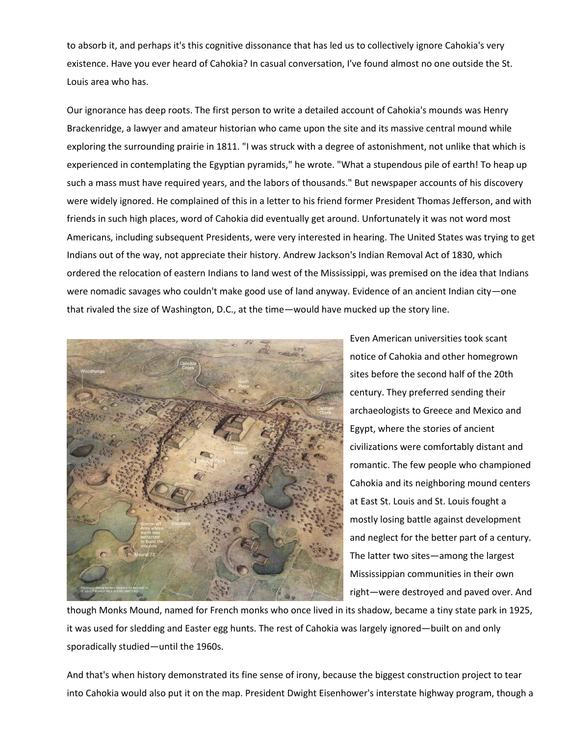to absorb it, and perhaps it's this cognitive dissonance that has led us to collectively ignore Cahokia's very existence. Have you ever heard of Cahokia? In casual conversation, I've found almost no one outside the St. Louis area who has.

Our ignorance has deep roots. The first person to write a detailed account of Cahokia's mounds was Henry Brackenridge, a lawyer and amateur historian who came upon the site and its massive central mound while exploring the surrounding prairie in 1811. "I was struck with a degree of astonishment, not unlike that which is experienced in contemplating the Egyptian pyramids," he wrote. "What a stupendous pile of earth! To heap up such a mass must have required years, and the labors of thousands." But newspaper accounts of his discovery were widely ignored. He complained of this in a letter to his friend former President Thomas Jefferson, and with friends in such high places, word of Cahokia did eventually get around. Unfortunately it was not word most Americans, including subsequent Presidents, were very interested in hearing. The United States was trying to get Indians out of the way, not appreciate their history. Andrew Jackson's Indian Removal Act of 1830, which ordered the relocation of eastern Indians to land west of the Mississippi, was premised on the idea that Indians were nomadic savages who couldn't make good use of land anyway. Evidence of an ancient Indian city—one that rivaled the size of Washington, D.C., at the time—would have mucked up the story line.



Even American universities took scant notice of Cahokia and other homegrown sites before the second half of the 20th century. They preferred sending their archaeologists to Greece and Mexico and Egypt, where the stories of ancient civilizations were comfortably distant and romantic. The few people who championed Cahokia and its neighboring mound centers at East St. Louis and St. Louis fought a mostly losing battle against development and neglect for the better part of a century. The latter two sites—among the largest Mississippian communities in their own right—were destroyed and paved over. And

though Monks Mound, named for French monks who once lived in its shadow, became a tiny state park in 1925, it was used for sledding and Easter egg hunts. The rest of Cahokia was largely ignored—built on and only sporadically studied—until the 1960s.

And that's when history demonstrated its fine sense of irony, because the biggest construction project to tear into Cahokia would also put it on the map. President Dwight Eisenhower's interstate highway program, though a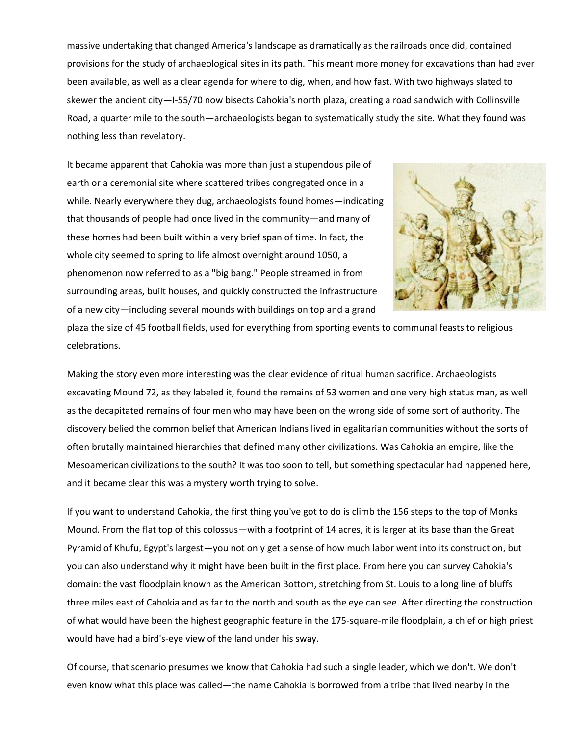massive undertaking that changed America's landscape as dramatically as the railroads once did, contained provisions for the study of archaeological sites in its path. This meant more money for excavations than had ever been available, as well as a clear agenda for where to dig, when, and how fast. With two highways slated to skewer the ancient city—I-55/70 now bisects Cahokia's north plaza, creating a road sandwich with Collinsville Road, a quarter mile to the south—archaeologists began to systematically study the site. What they found was nothing less than revelatory.

It became apparent that Cahokia was more than just a stupendous pile of earth or a ceremonial site where scattered tribes congregated once in a while. Nearly everywhere they dug, archaeologists found homes—indicating that thousands of people had once lived in the community—and many of these homes had been built within a very brief span of time. In fact, the whole city seemed to spring to life almost overnight around 1050, a phenomenon now referred to as a "big bang." People streamed in from surrounding areas, built houses, and quickly constructed the infrastructure of a new city—including several mounds with buildings on top and a grand



plaza the size of 45 football fields, used for everything from sporting events to communal feasts to religious celebrations.

Making the story even more interesting was the clear evidence of ritual human sacrifice. Archaeologists excavating Mound 72, as they labeled it, found the remains of 53 women and one very high status man, as well as the decapitated remains of four men who may have been on the wrong side of some sort of authority. The discovery belied the common belief that American Indians lived in egalitarian communities without the sorts of often brutally maintained hierarchies that defined many other civilizations. Was Cahokia an empire, like the Mesoamerican civilizations to the south? It was too soon to tell, but something spectacular had happened here, and it became clear this was a mystery worth trying to solve.

If you want to understand Cahokia, the first thing you've got to do is climb the 156 steps to the top of Monks Mound. From the flat top of this colossus—with a footprint of 14 acres, it is larger at its base than the Great Pyramid of Khufu, Egypt's largest—you not only get a sense of how much labor went into its construction, but you can also understand why it might have been built in the first place. From here you can survey Cahokia's domain: the vast floodplain known as the American Bottom, stretching from St. Louis to a long line of bluffs three miles east of Cahokia and as far to the north and south as the eye can see. After directing the construction of what would have been the highest geographic feature in the 175-square-mile floodplain, a chief or high priest would have had a bird's-eye view of the land under his sway.

Of course, that scenario presumes we know that Cahokia had such a single leader, which we don't. We don't even know what this place was called—the name Cahokia is borrowed from a tribe that lived nearby in the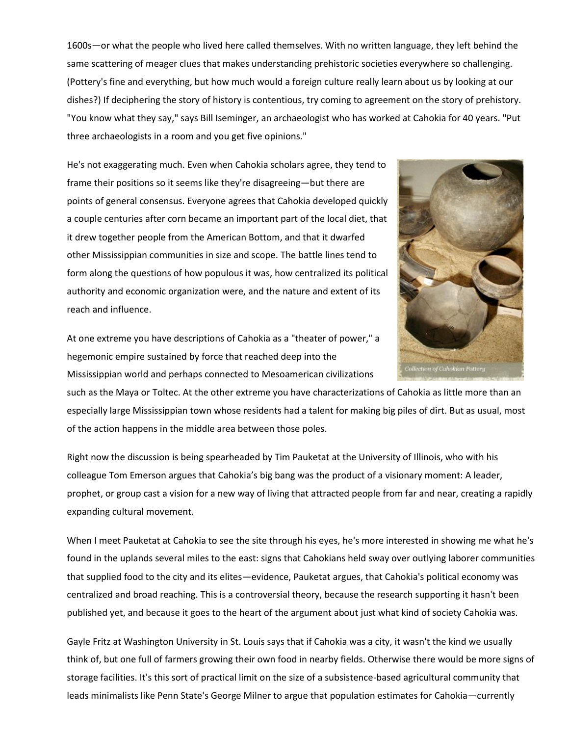1600s—or what the people who lived here called themselves. With no written language, they left behind the same scattering of meager clues that makes understanding prehistoric societies everywhere so challenging. (Pottery's fine and everything, but how much would a foreign culture really learn about us by looking at our dishes?) If deciphering the story of history is contentious, try coming to agreement on the story of prehistory. "You know what they say," says Bill Iseminger, an archaeologist who has worked at Cahokia for 40 years. "Put three archaeologists in a room and you get five opinions."

He's not exaggerating much. Even when Cahokia scholars agree, they tend to frame their positions so it seems like they're disagreeing—but there are points of general consensus. Everyone agrees that Cahokia developed quickly a couple centuries after corn became an important part of the local diet, that it drew together people from the American Bottom, and that it dwarfed other Mississippian communities in size and scope. The battle lines tend to form along the questions of how populous it was, how centralized its political authority and economic organization were, and the nature and extent of its reach and influence.



At one extreme you have descriptions of Cahokia as a "theater of power," a hegemonic empire sustained by force that reached deep into the Mississippian world and perhaps connected to Mesoamerican civilizations

such as the Maya or Toltec. At the other extreme you have characterizations of Cahokia as little more than an especially large Mississippian town whose residents had a talent for making big piles of dirt. But as usual, most of the action happens in the middle area between those poles.

Right now the discussion is being spearheaded by Tim Pauketat at the University of Illinois, who with his colleague Tom Emerson argues that Cahokia's big bang was the product of a visionary moment: A leader, prophet, or group cast a vision for a new way of living that attracted people from far and near, creating a rapidly expanding cultural movement.

When I meet Pauketat at Cahokia to see the site through his eyes, he's more interested in showing me what he's found in the uplands several miles to the east: signs that Cahokians held sway over outlying laborer communities that supplied food to the city and its elites—evidence, Pauketat argues, that Cahokia's political economy was centralized and broad reaching. This is a controversial theory, because the research supporting it hasn't been published yet, and because it goes to the heart of the argument about just what kind of society Cahokia was.

Gayle Fritz at Washington University in St. Louis says that if Cahokia was a city, it wasn't the kind we usually think of, but one full of farmers growing their own food in nearby fields. Otherwise there would be more signs of storage facilities. It's this sort of practical limit on the size of a subsistence-based agricultural community that leads minimalists like Penn State's George Milner to argue that population estimates for Cahokia—currently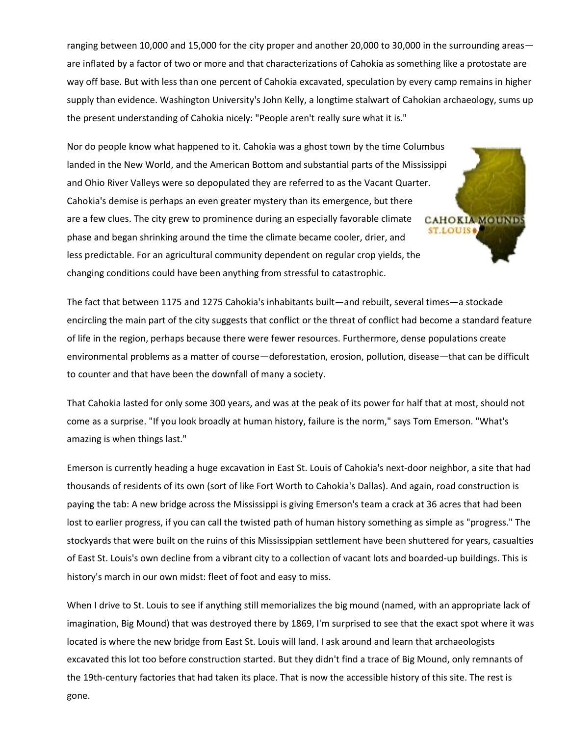ranging between 10,000 and 15,000 for the city proper and another 20,000 to 30,000 in the surrounding areas are inflated by a factor of two or more and that characterizations of Cahokia as something like a protostate are way off base. But with less than one percent of Cahokia excavated, speculation by every camp remains in higher supply than evidence. Washington University's John Kelly, a longtime stalwart of Cahokian archaeology, sums up the present understanding of Cahokia nicely: "People aren't really sure what it is."

Nor do people know what happened to it. Cahokia was a ghost town by the time Columbus landed in the New World, and the American Bottom and substantial parts of the Mississippi and Ohio River Valleys were so depopulated they are referred to as the Vacant Quarter. Cahokia's demise is perhaps an even greater mystery than its emergence, but there are a few clues. The city grew to prominence during an especially favorable climate **CAHOKIA MOUND ST.LOUIS** phase and began shrinking around the time the climate became cooler, drier, and less predictable. For an agricultural community dependent on regular crop yields, the changing conditions could have been anything from stressful to catastrophic.

The fact that between 1175 and 1275 Cahokia's inhabitants built—and rebuilt, several times—a stockade encircling the main part of the city suggests that conflict or the threat of conflict had become a standard feature of life in the region, perhaps because there were fewer resources. Furthermore, dense populations create environmental problems as a matter of course—deforestation, erosion, pollution, disease—that can be difficult to counter and that have been the downfall of many a society.

That Cahokia lasted for only some 300 years, and was at the peak of its power for half that at most, should not come as a surprise. "If you look broadly at human history, failure is the norm," says Tom Emerson. "What's amazing is when things last."

Emerson is currently heading a huge excavation in East St. Louis of Cahokia's next-door neighbor, a site that had thousands of residents of its own (sort of like Fort Worth to Cahokia's Dallas). And again, road construction is paying the tab: A new bridge across the Mississippi is giving Emerson's team a crack at 36 acres that had been lost to earlier progress, if you can call the twisted path of human history something as simple as "progress." The stockyards that were built on the ruins of this Mississippian settlement have been shuttered for years, casualties of East St. Louis's own decline from a vibrant city to a collection of vacant lots and boarded-up buildings. This is history's march in our own midst: fleet of foot and easy to miss.

When I drive to St. Louis to see if anything still memorializes the big mound (named, with an appropriate lack of imagination, Big Mound) that was destroyed there by 1869, I'm surprised to see that the exact spot where it was located is where the new bridge from East St. Louis will land. I ask around and learn that archaeologists excavated this lot too before construction started. But they didn't find a trace of Big Mound, only remnants of the 19th-century factories that had taken its place. That is now the accessible history of this site. The rest is gone.